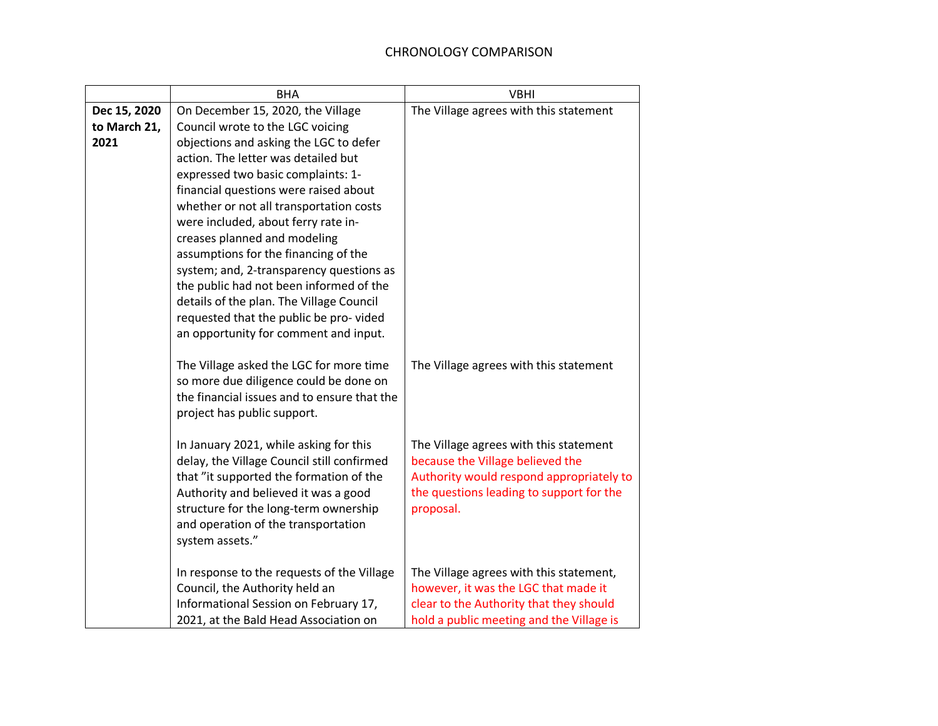|                                      | <b>BHA</b>                                                                                                                                                                                                                                                                                                                                                                                                                                                                                                                                                                                                            | <b>VBHI</b>                                                                                                                                                                                                                                                                                                                                             |
|--------------------------------------|-----------------------------------------------------------------------------------------------------------------------------------------------------------------------------------------------------------------------------------------------------------------------------------------------------------------------------------------------------------------------------------------------------------------------------------------------------------------------------------------------------------------------------------------------------------------------------------------------------------------------|---------------------------------------------------------------------------------------------------------------------------------------------------------------------------------------------------------------------------------------------------------------------------------------------------------------------------------------------------------|
| Dec 15, 2020<br>to March 21,<br>2021 | On December 15, 2020, the Village<br>Council wrote to the LGC voicing<br>objections and asking the LGC to defer<br>action. The letter was detailed but<br>expressed two basic complaints: 1-<br>financial questions were raised about<br>whether or not all transportation costs<br>were included, about ferry rate in-<br>creases planned and modeling<br>assumptions for the financing of the<br>system; and, 2-transparency questions as<br>the public had not been informed of the<br>details of the plan. The Village Council<br>requested that the public be pro-vided<br>an opportunity for comment and input. | The Village agrees with this statement                                                                                                                                                                                                                                                                                                                  |
|                                      | The Village asked the LGC for more time<br>so more due diligence could be done on<br>the financial issues and to ensure that the<br>project has public support.<br>In January 2021, while asking for this<br>delay, the Village Council still confirmed<br>that "it supported the formation of the<br>Authority and believed it was a good<br>structure for the long-term ownership<br>and operation of the transportation<br>system assets."<br>In response to the requests of the Village<br>Council, the Authority held an<br>Informational Session on February 17,                                                | The Village agrees with this statement<br>The Village agrees with this statement<br>because the Village believed the<br>Authority would respond appropriately to<br>the questions leading to support for the<br>proposal.<br>The Village agrees with this statement,<br>however, it was the LGC that made it<br>clear to the Authority that they should |
|                                      | 2021, at the Bald Head Association on                                                                                                                                                                                                                                                                                                                                                                                                                                                                                                                                                                                 | hold a public meeting and the Village is                                                                                                                                                                                                                                                                                                                |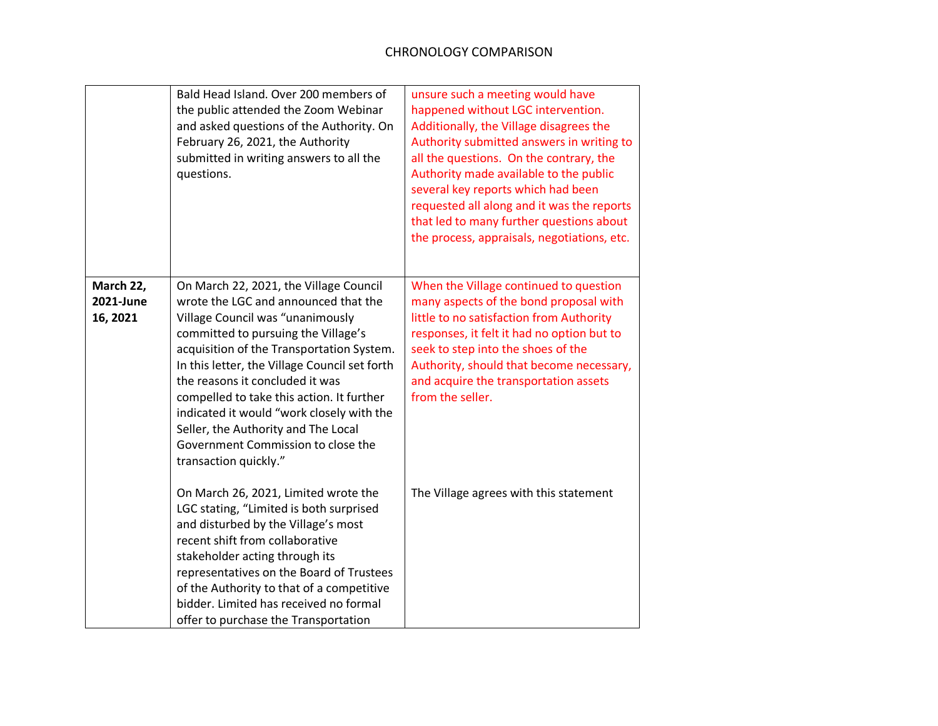|                                    | Bald Head Island. Over 200 members of<br>the public attended the Zoom Webinar<br>and asked questions of the Authority. On<br>February 26, 2021, the Authority<br>submitted in writing answers to all the<br>questions.                                                                                                                                                                                                                                                                     | unsure such a meeting would have<br>happened without LGC intervention.<br>Additionally, the Village disagrees the<br>Authority submitted answers in writing to<br>all the questions. On the contrary, the<br>Authority made available to the public<br>several key reports which had been<br>requested all along and it was the reports<br>that led to many further questions about<br>the process, appraisals, negotiations, etc. |
|------------------------------------|--------------------------------------------------------------------------------------------------------------------------------------------------------------------------------------------------------------------------------------------------------------------------------------------------------------------------------------------------------------------------------------------------------------------------------------------------------------------------------------------|------------------------------------------------------------------------------------------------------------------------------------------------------------------------------------------------------------------------------------------------------------------------------------------------------------------------------------------------------------------------------------------------------------------------------------|
| March 22,<br>2021-June<br>16, 2021 | On March 22, 2021, the Village Council<br>wrote the LGC and announced that the<br>Village Council was "unanimously<br>committed to pursuing the Village's<br>acquisition of the Transportation System.<br>In this letter, the Village Council set forth<br>the reasons it concluded it was<br>compelled to take this action. It further<br>indicated it would "work closely with the<br>Seller, the Authority and The Local<br>Government Commission to close the<br>transaction quickly." | When the Village continued to question<br>many aspects of the bond proposal with<br>little to no satisfaction from Authority<br>responses, it felt it had no option but to<br>seek to step into the shoes of the<br>Authority, should that become necessary,<br>and acquire the transportation assets<br>from the seller.                                                                                                          |
|                                    | On March 26, 2021, Limited wrote the<br>LGC stating, "Limited is both surprised<br>and disturbed by the Village's most<br>recent shift from collaborative<br>stakeholder acting through its<br>representatives on the Board of Trustees<br>of the Authority to that of a competitive<br>bidder. Limited has received no formal<br>offer to purchase the Transportation                                                                                                                     | The Village agrees with this statement                                                                                                                                                                                                                                                                                                                                                                                             |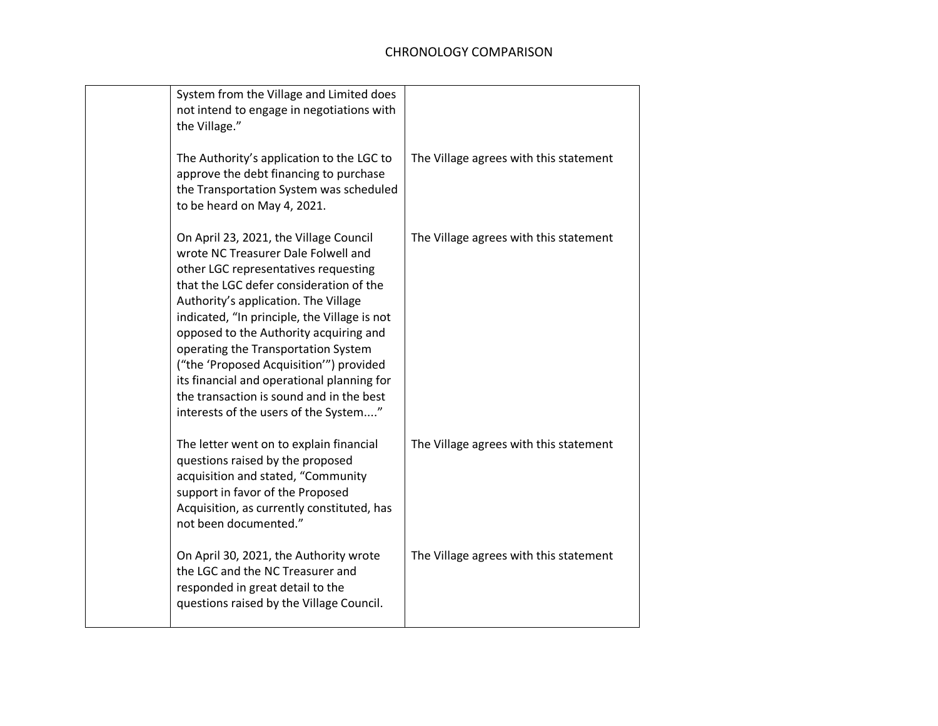| System from the Village and Limited does<br>not intend to engage in negotiations with<br>the Village."                                                                                                                                                                                                                                                                                                                                                                                                                  |                                        |
|-------------------------------------------------------------------------------------------------------------------------------------------------------------------------------------------------------------------------------------------------------------------------------------------------------------------------------------------------------------------------------------------------------------------------------------------------------------------------------------------------------------------------|----------------------------------------|
| The Authority's application to the LGC to<br>approve the debt financing to purchase<br>the Transportation System was scheduled<br>to be heard on May 4, 2021.                                                                                                                                                                                                                                                                                                                                                           | The Village agrees with this statement |
| On April 23, 2021, the Village Council<br>wrote NC Treasurer Dale Folwell and<br>other LGC representatives requesting<br>that the LGC defer consideration of the<br>Authority's application. The Village<br>indicated, "In principle, the Village is not<br>opposed to the Authority acquiring and<br>operating the Transportation System<br>("the 'Proposed Acquisition'") provided<br>its financial and operational planning for<br>the transaction is sound and in the best<br>interests of the users of the System" | The Village agrees with this statement |
| The letter went on to explain financial<br>questions raised by the proposed<br>acquisition and stated, "Community<br>support in favor of the Proposed<br>Acquisition, as currently constituted, has<br>not been documented."                                                                                                                                                                                                                                                                                            | The Village agrees with this statement |
| On April 30, 2021, the Authority wrote<br>the LGC and the NC Treasurer and<br>responded in great detail to the<br>questions raised by the Village Council.                                                                                                                                                                                                                                                                                                                                                              | The Village agrees with this statement |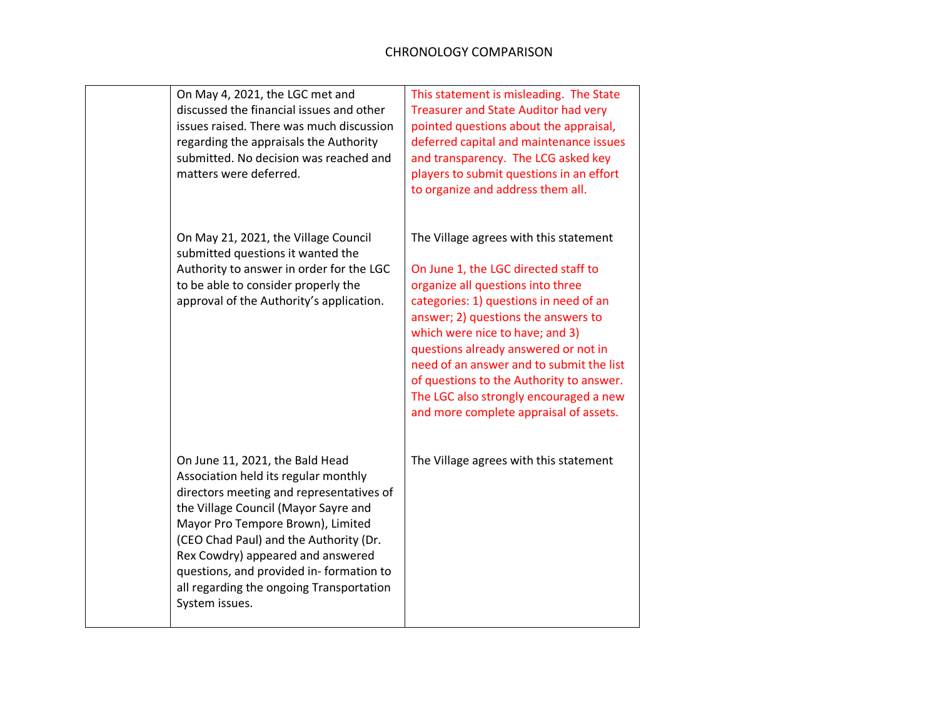| On May 4, 2021, the LGC met and<br>discussed the financial issues and other<br>issues raised. There was much discussion<br>regarding the appraisals the Authority<br>submitted. No decision was reached and<br>matters were deferred.                                                                                                                                                    | This statement is misleading. The State<br><b>Treasurer and State Auditor had very</b><br>pointed questions about the appraisal,<br>deferred capital and maintenance issues<br>and transparency. The LCG asked key<br>players to submit questions in an effort<br>to organize and address them all.                                                                                                                                                         |
|------------------------------------------------------------------------------------------------------------------------------------------------------------------------------------------------------------------------------------------------------------------------------------------------------------------------------------------------------------------------------------------|-------------------------------------------------------------------------------------------------------------------------------------------------------------------------------------------------------------------------------------------------------------------------------------------------------------------------------------------------------------------------------------------------------------------------------------------------------------|
| On May 21, 2021, the Village Council<br>submitted questions it wanted the<br>Authority to answer in order for the LGC<br>to be able to consider properly the<br>approval of the Authority's application.                                                                                                                                                                                 | The Village agrees with this statement<br>On June 1, the LGC directed staff to<br>organize all questions into three<br>categories: 1) questions in need of an<br>answer; 2) questions the answers to<br>which were nice to have; and 3)<br>questions already answered or not in<br>need of an answer and to submit the list<br>of questions to the Authority to answer.<br>The LGC also strongly encouraged a new<br>and more complete appraisal of assets. |
| On June 11, 2021, the Bald Head<br>Association held its regular monthly<br>directors meeting and representatives of<br>the Village Council (Mayor Sayre and<br>Mayor Pro Tempore Brown), Limited<br>(CEO Chad Paul) and the Authority (Dr.<br>Rex Cowdry) appeared and answered<br>questions, and provided in-formation to<br>all regarding the ongoing Transportation<br>System issues. | The Village agrees with this statement                                                                                                                                                                                                                                                                                                                                                                                                                      |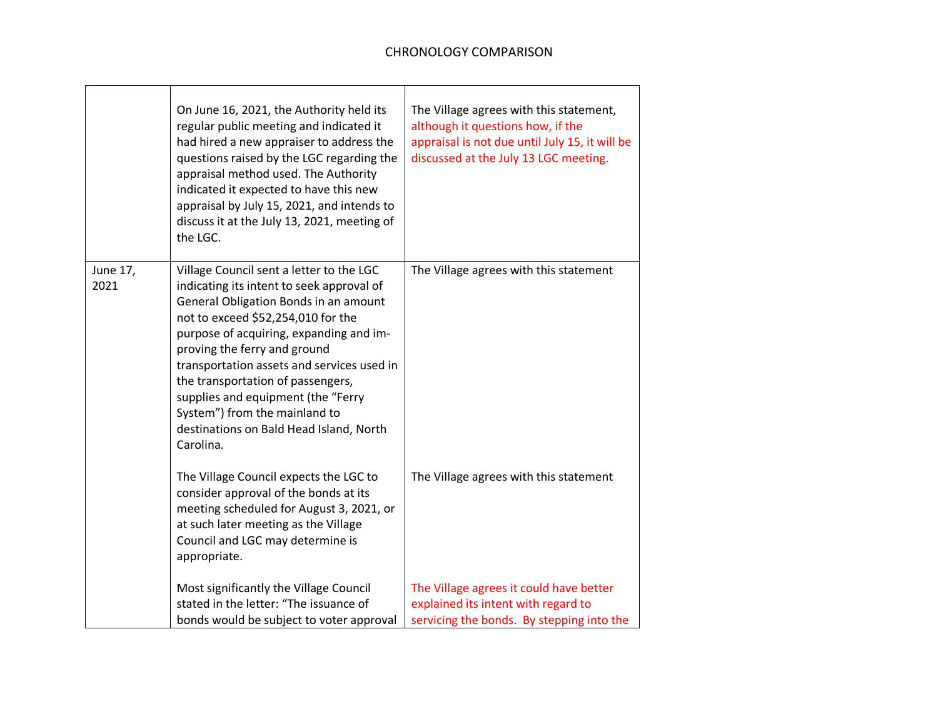|                  | On June 16, 2021, the Authority held its<br>regular public meeting and indicated it<br>had hired a new appraiser to address the<br>questions raised by the LGC regarding the<br>appraisal method used. The Authority<br>indicated it expected to have this new<br>appraisal by July 15, 2021, and intends to<br>discuss it at the July 13, 2021, meeting of<br>the LGC.                                                                                           | The Village agrees with this statement,<br>although it questions how, if the<br>appraisal is not due until July 15, it will be<br>discussed at the July 13 LGC meeting. |
|------------------|-------------------------------------------------------------------------------------------------------------------------------------------------------------------------------------------------------------------------------------------------------------------------------------------------------------------------------------------------------------------------------------------------------------------------------------------------------------------|-------------------------------------------------------------------------------------------------------------------------------------------------------------------------|
| June 17,<br>2021 | Village Council sent a letter to the LGC<br>indicating its intent to seek approval of<br>General Obligation Bonds in an amount<br>not to exceed \$52,254,010 for the<br>purpose of acquiring, expanding and im-<br>proving the ferry and ground<br>transportation assets and services used in<br>the transportation of passengers,<br>supplies and equipment (the "Ferry<br>System") from the mainland to<br>destinations on Bald Head Island, North<br>Carolina. | The Village agrees with this statement                                                                                                                                  |
|                  | The Village Council expects the LGC to<br>consider approval of the bonds at its<br>meeting scheduled for August 3, 2021, or<br>at such later meeting as the Village<br>Council and LGC may determine is<br>appropriate.                                                                                                                                                                                                                                           | The Village agrees with this statement                                                                                                                                  |
|                  | Most significantly the Village Council<br>stated in the letter: "The issuance of<br>bonds would be subject to voter approval                                                                                                                                                                                                                                                                                                                                      | The Village agrees it could have better<br>explained its intent with regard to<br>servicing the bonds. By stepping into the                                             |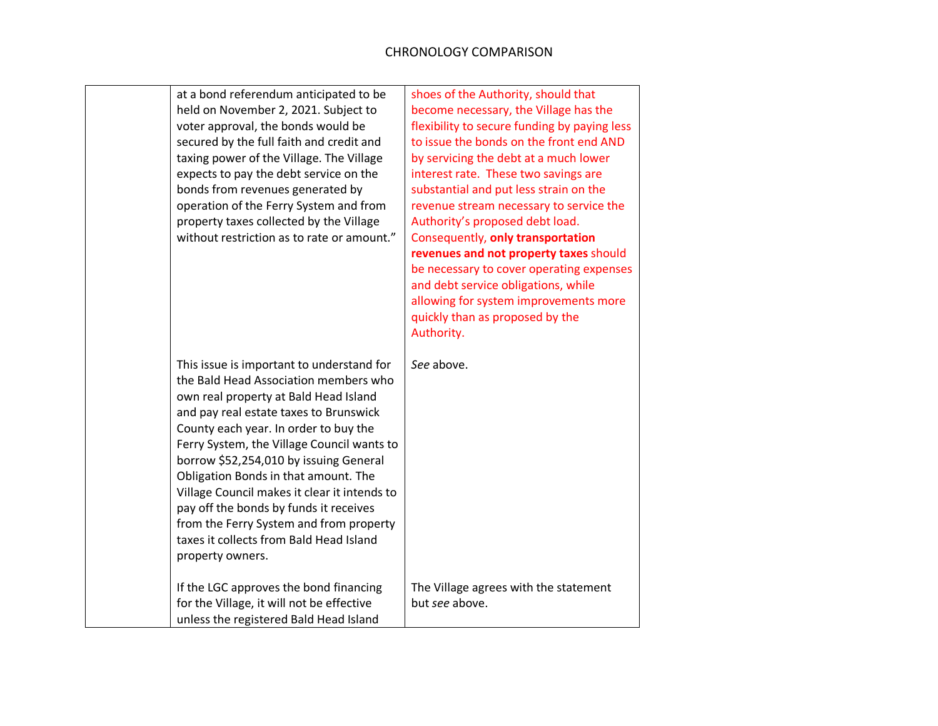| at a bond referendum anticipated to be<br>held on November 2, 2021. Subject to<br>voter approval, the bonds would be<br>secured by the full faith and credit and<br>taxing power of the Village. The Village<br>expects to pay the debt service on the<br>bonds from revenues generated by<br>operation of the Ferry System and from<br>property taxes collected by the Village<br>without restriction as to rate or amount." | shoes of the Authority, should that<br>become necessary, the Village has the<br>flexibility to secure funding by paying less<br>to issue the bonds on the front end AND<br>by servicing the debt at a much lower<br>interest rate. These two savings are<br>substantial and put less strain on the<br>revenue stream necessary to service the<br>Authority's proposed debt load.<br>Consequently, only transportation<br>revenues and not property taxes should<br>be necessary to cover operating expenses |  |
|-------------------------------------------------------------------------------------------------------------------------------------------------------------------------------------------------------------------------------------------------------------------------------------------------------------------------------------------------------------------------------------------------------------------------------|-------------------------------------------------------------------------------------------------------------------------------------------------------------------------------------------------------------------------------------------------------------------------------------------------------------------------------------------------------------------------------------------------------------------------------------------------------------------------------------------------------------|--|
| This issue is important to understand for<br>the Bald Head Association members who<br>own real property at Bald Head Island<br>and pay real estate taxes to Brunswick<br>County each year. In order to buy the<br>Ferry System, the Village Council wants to                                                                                                                                                                  | and debt service obligations, while<br>allowing for system improvements more<br>quickly than as proposed by the<br>Authority.<br>See above.                                                                                                                                                                                                                                                                                                                                                                 |  |
| borrow \$52,254,010 by issuing General<br>Obligation Bonds in that amount. The<br>Village Council makes it clear it intends to<br>pay off the bonds by funds it receives<br>from the Ferry System and from property<br>taxes it collects from Bald Head Island<br>property owners.<br>If the LGC approves the bond financing                                                                                                  | The Village agrees with the statement                                                                                                                                                                                                                                                                                                                                                                                                                                                                       |  |
| for the Village, it will not be effective<br>unless the registered Bald Head Island                                                                                                                                                                                                                                                                                                                                           | but see above.                                                                                                                                                                                                                                                                                                                                                                                                                                                                                              |  |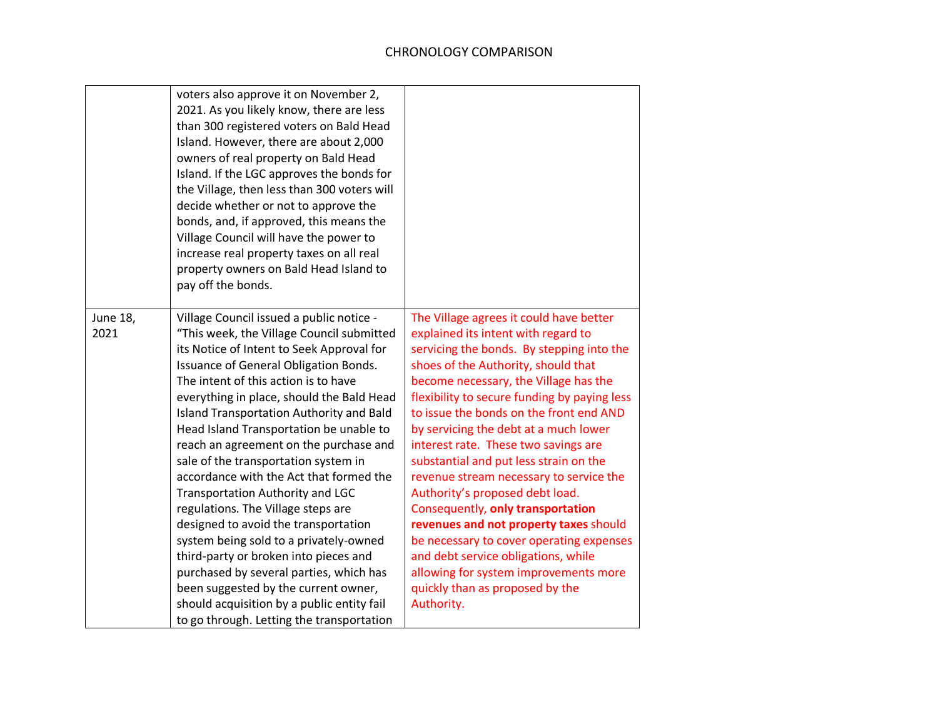|                  | voters also approve it on November 2,<br>2021. As you likely know, there are less<br>than 300 registered voters on Bald Head<br>Island. However, there are about 2,000<br>owners of real property on Bald Head<br>Island. If the LGC approves the bonds for<br>the Village, then less than 300 voters will<br>decide whether or not to approve the<br>bonds, and, if approved, this means the<br>Village Council will have the power to<br>increase real property taxes on all real<br>property owners on Bald Head Island to<br>pay off the bonds.                                                                                                                                                                                                                                                                                                                     |                                                                                                                                                                                                                                                                                                                                                                                                                                                                                                                                                                                                                                                                                                                                                                             |
|------------------|-------------------------------------------------------------------------------------------------------------------------------------------------------------------------------------------------------------------------------------------------------------------------------------------------------------------------------------------------------------------------------------------------------------------------------------------------------------------------------------------------------------------------------------------------------------------------------------------------------------------------------------------------------------------------------------------------------------------------------------------------------------------------------------------------------------------------------------------------------------------------|-----------------------------------------------------------------------------------------------------------------------------------------------------------------------------------------------------------------------------------------------------------------------------------------------------------------------------------------------------------------------------------------------------------------------------------------------------------------------------------------------------------------------------------------------------------------------------------------------------------------------------------------------------------------------------------------------------------------------------------------------------------------------------|
| June 18,<br>2021 | Village Council issued a public notice -<br>"This week, the Village Council submitted<br>its Notice of Intent to Seek Approval for<br>Issuance of General Obligation Bonds.<br>The intent of this action is to have<br>everything in place, should the Bald Head<br>Island Transportation Authority and Bald<br>Head Island Transportation be unable to<br>reach an agreement on the purchase and<br>sale of the transportation system in<br>accordance with the Act that formed the<br>Transportation Authority and LGC<br>regulations. The Village steps are<br>designed to avoid the transportation<br>system being sold to a privately-owned<br>third-party or broken into pieces and<br>purchased by several parties, which has<br>been suggested by the current owner,<br>should acquisition by a public entity fail<br>to go through. Letting the transportation | The Village agrees it could have better<br>explained its intent with regard to<br>servicing the bonds. By stepping into the<br>shoes of the Authority, should that<br>become necessary, the Village has the<br>flexibility to secure funding by paying less<br>to issue the bonds on the front end AND<br>by servicing the debt at a much lower<br>interest rate. These two savings are<br>substantial and put less strain on the<br>revenue stream necessary to service the<br>Authority's proposed debt load.<br>Consequently, only transportation<br>revenues and not property taxes should<br>be necessary to cover operating expenses<br>and debt service obligations, while<br>allowing for system improvements more<br>quickly than as proposed by the<br>Authority. |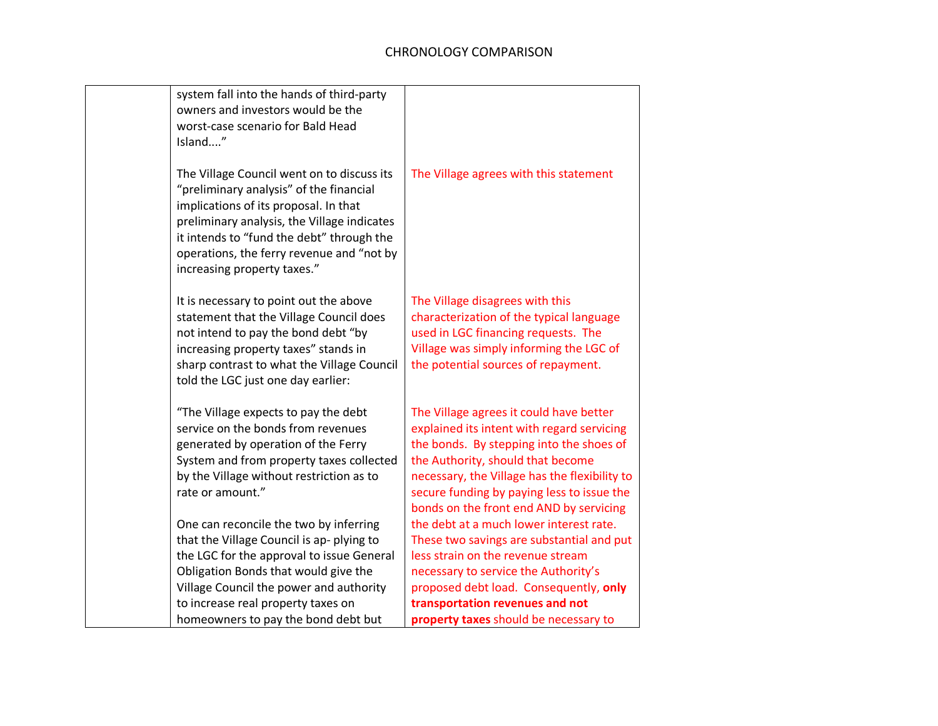| system fall into the hands of third-party<br>owners and investors would be the                                                                                                                                                                                                                         |                                                                                                                                                                                                                                                                                                                  |
|--------------------------------------------------------------------------------------------------------------------------------------------------------------------------------------------------------------------------------------------------------------------------------------------------------|------------------------------------------------------------------------------------------------------------------------------------------------------------------------------------------------------------------------------------------------------------------------------------------------------------------|
| worst-case scenario for Bald Head                                                                                                                                                                                                                                                                      |                                                                                                                                                                                                                                                                                                                  |
| Island"                                                                                                                                                                                                                                                                                                |                                                                                                                                                                                                                                                                                                                  |
| The Village Council went on to discuss its<br>"preliminary analysis" of the financial<br>implications of its proposal. In that<br>preliminary analysis, the Village indicates<br>it intends to "fund the debt" through the<br>operations, the ferry revenue and "not by<br>increasing property taxes." | The Village agrees with this statement                                                                                                                                                                                                                                                                           |
| It is necessary to point out the above<br>statement that the Village Council does<br>not intend to pay the bond debt "by<br>increasing property taxes" stands in<br>sharp contrast to what the Village Council<br>told the LGC just one day earlier:                                                   | The Village disagrees with this<br>characterization of the typical language<br>used in LGC financing requests. The<br>Village was simply informing the LGC of<br>the potential sources of repayment.                                                                                                             |
| "The Village expects to pay the debt<br>service on the bonds from revenues<br>generated by operation of the Ferry<br>System and from property taxes collected<br>by the Village without restriction as to<br>rate or amount."                                                                          | The Village agrees it could have better<br>explained its intent with regard servicing<br>the bonds. By stepping into the shoes of<br>the Authority, should that become<br>necessary, the Village has the flexibility to<br>secure funding by paying less to issue the<br>bonds on the front end AND by servicing |
| One can reconcile the two by inferring<br>that the Village Council is ap-plying to<br>the LGC for the approval to issue General<br>Obligation Bonds that would give the<br>Village Council the power and authority                                                                                     | the debt at a much lower interest rate.<br>These two savings are substantial and put<br>less strain on the revenue stream<br>necessary to service the Authority's<br>proposed debt load. Consequently, only                                                                                                      |
| to increase real property taxes on                                                                                                                                                                                                                                                                     | transportation revenues and not                                                                                                                                                                                                                                                                                  |
| homeowners to pay the bond debt but                                                                                                                                                                                                                                                                    | property taxes should be necessary to                                                                                                                                                                                                                                                                            |